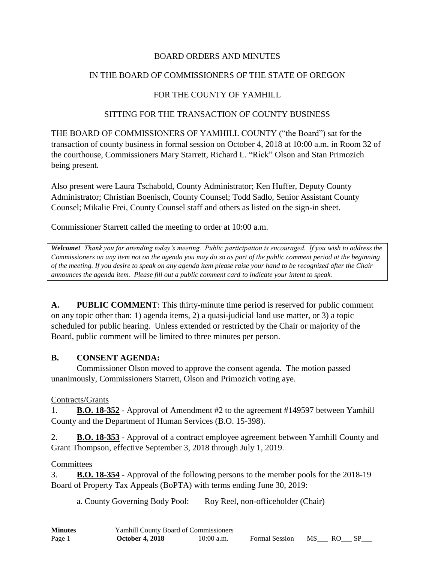## BOARD ORDERS AND MINUTES

## IN THE BOARD OF COMMISSIONERS OF THE STATE OF OREGON

## FOR THE COUNTY OF YAMHILL

#### SITTING FOR THE TRANSACTION OF COUNTY BUSINESS

THE BOARD OF COMMISSIONERS OF YAMHILL COUNTY ("the Board") sat for the transaction of county business in formal session on October 4, 2018 at 10:00 a.m. in Room 32 of the courthouse, Commissioners Mary Starrett, Richard L. "Rick" Olson and Stan Primozich being present.

Also present were Laura Tschabold, County Administrator; Ken Huffer, Deputy County Administrator; Christian Boenisch, County Counsel; Todd Sadlo, Senior Assistant County Counsel; Mikalie Frei, County Counsel staff and others as listed on the sign-in sheet.

Commissioner Starrett called the meeting to order at 10:00 a.m.

*Welcome! Thank you for attending today's meeting. Public participation is encouraged. If you wish to address the Commissioners on any item not on the agenda you may do so as part of the public comment period at the beginning of the meeting. If you desire to speak on any agenda item please raise your hand to be recognized after the Chair announces the agenda item. Please fill out a public comment card to indicate your intent to speak.*

**A. PUBLIC COMMENT**: This thirty-minute time period is reserved for public comment on any topic other than: 1) agenda items, 2) a quasi-judicial land use matter, or 3) a topic scheduled for public hearing. Unless extended or restricted by the Chair or majority of the Board, public comment will be limited to three minutes per person.

## **B. CONSENT AGENDA:**

Commissioner Olson moved to approve the consent agenda. The motion passed unanimously, Commissioners Starrett, Olson and Primozich voting aye.

#### Contracts/Grants

1. **B.O. 18-352** - Approval of Amendment #2 to the agreement #149597 between Yamhill County and the Department of Human Services (B.O. 15-398).

2. **B.O. 18-353** - Approval of a contract employee agreement between Yamhill County and Grant Thompson, effective September 3, 2018 through July 1, 2019.

#### **Committees**

3. **B.O. 18-354** - Approval of the following persons to the member pools for the 2018-19 Board of Property Tax Appeals (BoPTA) with terms ending June 30, 2019:

a. County Governing Body Pool: Roy Reel, non-officeholder (Chair)

| <b>Minutes</b> | <b>Yamhill County Board of Commissioners</b> |              |                   |  |      |  |
|----------------|----------------------------------------------|--------------|-------------------|--|------|--|
| Page 1         | <b>October 4, 2018</b>                       | $10:00$ a.m. | Formal Session MS |  | - RO |  |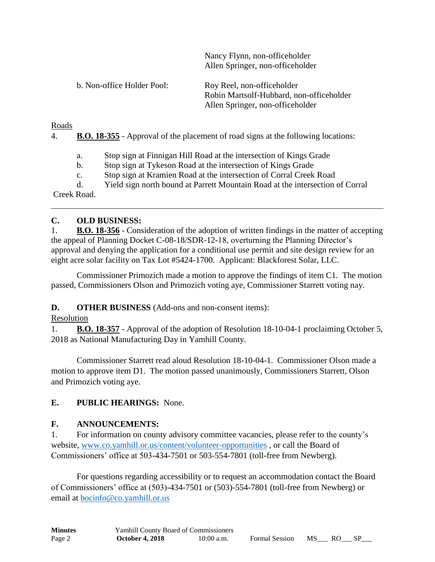|                            | Allen Springer, non-officeholder                                                                           |
|----------------------------|------------------------------------------------------------------------------------------------------------|
| b. Non-office Holder Pool: | Roy Reel, non-officeholder<br>Robin Martsolf-Hubbard, non-officeholder<br>Allen Springer, non-officeholder |

Nancy Flynn, non-officeholder

Roads

4. **B.O. 18-355** - Approval of the placement of road signs at the following locations:

a. Stop sign at Finnigan Hill Road at the intersection of Kings Grade

b. Stop sign at Tykeson Road at the intersection of Kings Grade

c. Stop sign at Kramien Road at the intersection of Corral Creek Road

d. Yield sign north bound at Parrett Mountain Road at the intersection of Corral

Creek Road.

## **C. OLD BUSINESS:**

1. **B.O. 18-356** - Consideration of the adoption of written findings in the matter of accepting the appeal of Planning Docket C-08-18/SDR-12-18, overturning the Planning Director's approval and denying the application for a conditional use permit and site design review for an eight acre solar facility on Tax Lot #5424-1700. Applicant: Blackforest Solar, LLC.

Commissioner Primozich made a motion to approve the findings of item C1. The motion passed, Commissioners Olson and Primozich voting aye, Commissioner Starrett voting nay.

**D. OTHER BUSINESS** (Add-ons and non-consent items):

Resolution

1. **B.O. 18-357** - Approval of the adoption of Resolution 18-10-04-1 proclaiming October 5, 2018 as National Manufacturing Day in Yamhill County.

Commissioner Starrett read aloud Resolution 18-10-04-1. Commissioner Olson made a motion to approve item D1. The motion passed unanimously, Commissioners Starrett, Olson and Primozich voting aye.

# **E. PUBLIC HEARINGS:** None.

# **F. ANNOUNCEMENTS:**

1. For information on county advisory committee vacancies, please refer to the county's website, [www.co.yamhill.or.us/content/volunteer-opportunities](http://www.co.yamhill.or.us/content/volunteer-opportunities) , or call the Board of Commissioners' office at 503-434-7501 or 503-554-7801 (toll-free from Newberg).

For questions regarding accessibility or to request an accommodation contact the Board of Commissioners' office at (503)-434-7501 or (503)-554-7801 (toll-free from Newberg) or email at [bocinfo@co.yamhill.or.us](mailto:bocinfo@co.yamhill.or.us)

| <b>Minutes</b> | <b>Yamhill County Board of Commissioners</b> |              |                       |        |      |  |
|----------------|----------------------------------------------|--------------|-----------------------|--------|------|--|
| Page 2         | <b>October 4, 2018</b>                       | $10:00$ a.m. | <b>Formal Session</b> | MS No. | - RO |  |